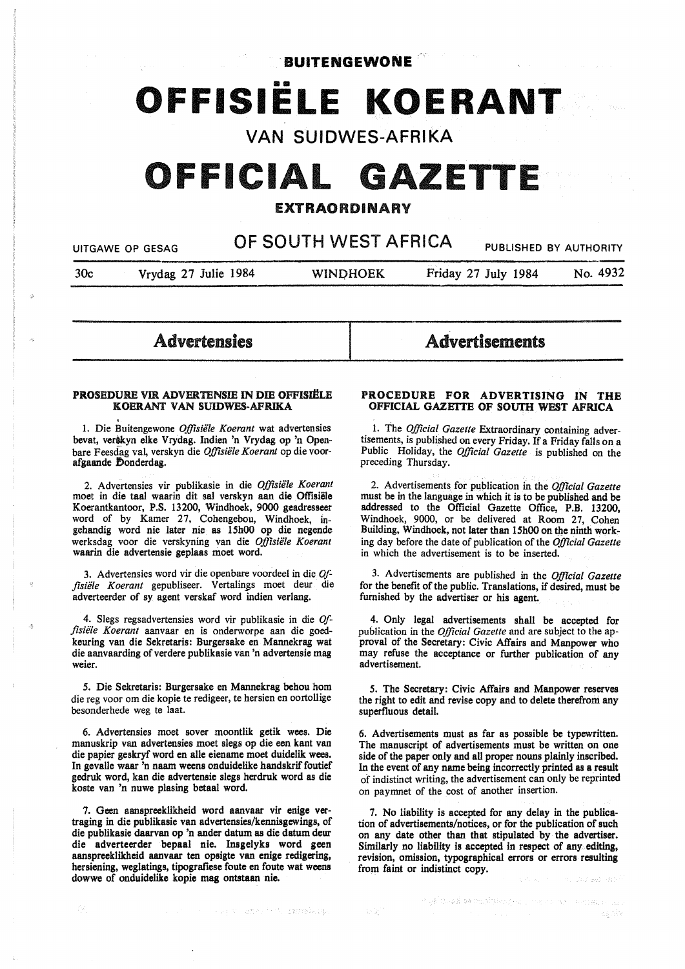**BUITENGEWONE** 

# **OFFISIELE KOERANT**

**VAN SUIDWES-AFRIKA** 

## OFFICIAL GAZETTE

#### EXTRAORDINARY

UITGAWE OP GESAG **OF SOUTH WEST AFRICA** PUBLISHED BY AUTHORITY

30c Vrydag 27 Julie 1984 WINOHOEK Friday 27 July 1984 No. 4932

Advertensies

### Advertisements

#### PROSEDURE VIR ADVERTENSIE IN DIE OFFISIËLE KOERANT VAN SUIDWES-AFRIKA

. l. Die Buitengewone *Offisiele Koerant* wat advertensies bevat, verikyn elke Vrydag. Indien 'n Vrydag op 'n Openbare Feesdag val, verskyn die *Offisiele Koerant* op die voorafgaande Donderdag.

2. Advertensies vir publikasie in die *Offisiele Koerant*  moet in die taal waarin dit sal verskyn aan die Offisiele Koerantkantoor, P.S. 13200, Windhoek, 9000 geadresseer word of by Kamer 27, Cohengebou, Windhoek, ingehandig word nie later nie as 15h00 op die negende werksdag voor die verskyning van die *Offisiele Koerant*  waarin die advertensie geplaas moet word.

3. Advertensies word vir die openbare voordeel in die *Of*fisiële Koerant gepubliseer. Vertalings moet deur die adverteerder of sy agent verskaf word indien verlang.

4. Slegs regsadvertensies word vir publikasie in die *Offisiele Koerant* aanvaar en is onderworpe aan die goedkeuring van die Sekretaris: Burgersake en Mannekrag wat die aanvaarding of verdere publikasie van 'n advertensie mag weier.

*5.* Die Sekretaris: Burgersake en Mannekrag behou horn die reg voor om die kopie te redigeer, te hersien en oortollige besonderhede weg te laat.

6. Advertensies moet sover moontlik getik wees. Die manuskrip van advertensies moet slegs op die een kant van die papier geskryf word en alle eiename moet duidelik wees. In gevalle waar 'n naam weens onduidelike handskrif foutief gedruk word, kan die advertensie slegs herdruk word as die koste van 'n nuwe plasing betaal word.

7. Geen aanspreeklikheid word aanvaar vir enige vertraging in die publikasie van advertensies/kennisgewings, of die publikasie daarvan op 'n ander datum as die datum deur die adverteerder bepaal nie. Insgelyks word geen aanspreeklikheid aanvaar ten opsigte van enige redigering, hersiening, weglatings, tipografiese foute en foute wat weens **dowwe** of **onduidelike kopie mag ontstaan nie.** 

#### **PROCEDURE FOR. ADVERTISING IN THE OFFICIAL GAZEITE OF SOUTH WEST AFRICA**

1. The *Official Gazette* Extraordinary containing advertisements, is published on every Friday. If a Friday falls on a Public Holiday, the *Official Gazette* is published on the preceding Thursday.

2. Advertisements for publication in the *Official Gazette*  must be in the language in which it is to be published and be addressed to the Official Gazette Office, P.B. 13200, Windhoek, 9000, or be delivered at Room 27, Cohen Building, Windhoek, not later than 15h00 on the ninth working day before the date of publication of the *Official Gazette*  in which the advertisement is to be inserted.

3. Advertisements are published in the *Official Gazette*  for the benefit of the public. Translations, if desired, must be furnished by the advertiser or his agent.

4. Only legal advertisements shall be accepted for publication in the *Official Gazette* and are subject to the approval of the Secretary: Civic Affairs and Manpower who may refuse the acceptance or further publication of any advertisement.

*5.* The Secretary: Civic Affairs and Manpower reserves the right to edit and revise copy and to delete therefrom any superfluous detail.

6. Advertisements must as far as possible be typewritten. The manuscript of advertisements must be written on one side of the paper only and all proper nouns plainly inscribed. In the event of any name being incorrectly printed as a result of indistinct writing, the advertisement can only be reprinted on paymnet of the cost of another insertion.

7. No liability is accepted for any delay in the publication of advertisements/notices, or for the publication of such on any date other than that stipulated by the advertiser. Similarly no liability is accepted in respect of any editing, revision, omission, typographical errors or errors resulting from faint or indistinct copy.

and the sound will be the internal and pro-

in galis-bal de Poloitst-Agna Lime - A han i Antaela Higab  $\mathbb{C}[\mathbb{Z}]$  $\leq\leq N/2$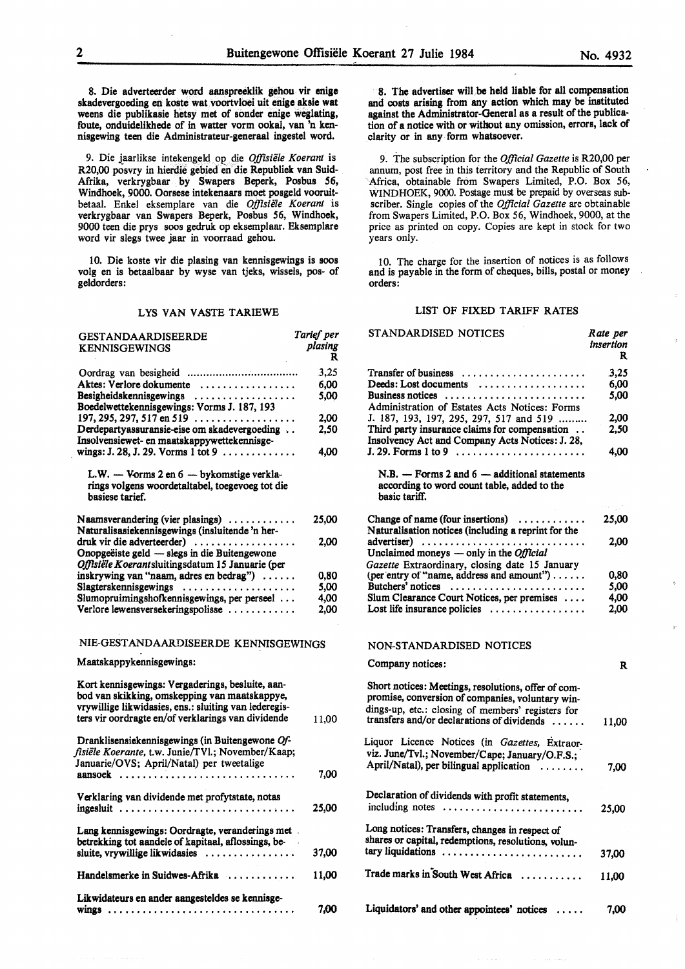8. Die adverteerder word aanspreeklik gehou vir **enige**  skadevergoeding en koste wat voortvloei uit **enige aksie wat** weens die publikasie hetsy met of sonder enige weglating, foute, onduidelikhede of in watter vorm ookal, van 'n kennisgewing teen die Administrateur-generaal ingestel word.

9. Die j\_aarlikse intekengeld op die *Offisiele Koerant* is R20,00 posvry in hierdie gebied en die Republiek van Suid-Afrika, verkrygbaar by Swapers Beperk, Posbus 56, Windhoek, 9000. Oorsese intekenaars moet posgeld vooruitbetaal. Enkel eksemplare van die *Offisiële Koerant* is verkrygbaar van Swapers Beperk, Posbus 56, Windhoek, 9000 teen die prys soos gedruk op eksemplaar. Eksemplare word vir slegs twee jaar in voorraad gehou.

10. Die koste vir die plasing van kennisgewings is soos volg en is betaalbaar by wyse van tjeks, wissels, pos- of geldorders:

#### LYS VAN VASTE TARIEWE

| <b>GESTANDAARDISEERDE</b>                                | Tarief per   |
|----------------------------------------------------------|--------------|
| <b>KENNISGEWINGS</b>                                     | plasing<br>R |
|                                                          | 3,25         |
|                                                          |              |
| Aktes: Verlore dokumente                                 | 6.00         |
| Besigheidskennisgewings                                  | 5.00         |
| Boedelwettekennisgewings: Vorms J. 187, 193              |              |
| 197, 295, 297, 517 en 519 $\dots$                        | 2.00         |
| Derdepartyassuransie-eise om skadevergoeding             | 2,50         |
| Insolvensiewet- en maatskappywettekennisge-              |              |
| wings: J. 28, J. 29. Vorms 1 tot 9 $\ldots$              | 4.00         |
|                                                          |              |
| L.W. - Vorms 2 en 6 - bykomstige verkla-                 |              |
| rings volgens woordetaltabel, toegevoeg tot die          |              |
| basiese tarief.                                          |              |
|                                                          |              |
| Naamsverandering (vier plasings)                         | 25,00        |
| Naturalisasiekennisgewings (insluitende 'n her-          |              |
| druk vir die adverteerder)                               | 2.00         |
| Onopgeëiste geld — slegs in die Buitengewone             |              |
| Offisiële Koerantsluitingsdatum 15 Januarie (per         |              |
| inskrywing van "naam, adres en bedrag")                  | 0.80         |
| Slagterskennisgewings                                    | 5,00         |
| Slumopruimingshofkennisgewings, per perseel              | 4,00         |
| Verlore lewensversekeringspolisse $\dots\dots\dots\dots$ | 2,00         |
|                                                          |              |
|                                                          |              |
| NIE-GESTANDAARDISEERDE KENNISGEWINGS                     |              |
| Maatskappykennisgewings:                                 |              |
|                                                          |              |
| Kort kennisgewings: Vergaderings, besluite, aan-         |              |
| bod van skikking, omskepping van maatskappye,            |              |
| vrywillige likwidasies, ens.: sluiting van lederegis-    |              |
| ters vir oordragte en/of verklarings van dividende       | 11,00        |
|                                                          |              |
| Dranklisensiekennisgewings (in Buitengewone Of-          |              |
| fisiële Koerante, t.w. Junie/TVl.; November/Kaap;        |              |
| Januarie/OVS; April/Natal) per tweetalige                |              |
| aansoek                                                  | 7.00         |
|                                                          |              |
| Verklaring van dividende met profytstate, notas          |              |
|                                                          | 25,00        |
|                                                          |              |
| Lang kennisgewings: Oordragte, veranderings met.         |              |
| betrekking tot aandele of kapitaal, aflossings, be-      |              |
| sluite, vrywillige likwidasies                           | 37,00        |
|                                                          |              |
|                                                          |              |
|                                                          |              |
| Handelsmerke in Suidwes-Afrika                           | 11,00        |
| Likwidateurs en ander aangesteldes se kennisge-          |              |

8. The advertiser will be held liable for all compensation and costs **arising** from any action which may be instituted against the Administrator-General as a result of the publication of a notice with or without any omission, errors, lack of clarity or in any form whatsoever.

9. The subscription for the *Official Gazette* is R20,00 per annum, post free in this territory and the Republic of South Africa, obtainable from Swapers Limited, P.O. Box 56, WINDHOEK, 9000. Postage must be prepaid by overseas subscriber. Single copies of the *Official Gazette* are obtainable from Swapers Limited, P.O. Box 56, Windhoek, 9000, at the price as printed on copy. Copies are kept in stock for two years only.

10. The charge for the insertion of notices is as follows and is payable in the form of cheques, bills, postal or money orders:

#### LIST OF FIXED TARIFF RATES

| STANDARDISED NOTICES                                                                                                                                                                                       | Rate per<br>insertion<br>R |
|------------------------------------------------------------------------------------------------------------------------------------------------------------------------------------------------------------|----------------------------|
| Transfer of business                                                                                                                                                                                       | 3,25                       |
| Deeds: Lost documents                                                                                                                                                                                      | 6,00                       |
| Business notices                                                                                                                                                                                           | 5,00                       |
| Administration of Estates Acts Notices: Forms                                                                                                                                                              |                            |
| J. 187, 193, 197, 295, 297, 517 and 519                                                                                                                                                                    | 2,00                       |
| Third party insurance claims for compensation<br>Insolvency Act and Company Acts Notices: J. 28,                                                                                                           | 2,50                       |
|                                                                                                                                                                                                            | 4,00                       |
| $N.B. - Forms 2 and 6 - additional statements$<br>according to word count table, added to the<br>basic tariff.                                                                                             |                            |
| Change of name (four insertions) $\dots\dots\dots$<br>Naturalisation notices (including a reprint for the                                                                                                  | 25,00                      |
| Unclaimed moneys $-$ only in the <i>Official</i>                                                                                                                                                           | 2.00                       |
| Gazette Extraordinary, closing date 15 January                                                                                                                                                             |                            |
| (per entry of "name, address and amount")                                                                                                                                                                  | 0,80                       |
| Butchers' notices                                                                                                                                                                                          | 5,00                       |
| Slum Clearance Court Notices, per premises                                                                                                                                                                 | 4,00                       |
| Lost life insurance policies $\ldots \ldots \ldots \ldots$                                                                                                                                                 | 2,00                       |
| NON-STANDARDISED NOTICES                                                                                                                                                                                   |                            |
| Company notices:                                                                                                                                                                                           | R                          |
| Short notices: Meetings, resolutions, offer of com-<br>promise, conversion of companies, voluntary win-<br>dings-up, etc.: closing of members' registers for<br>transfers and/or declarations of dividends | 11,00                      |
| Liquor Licence Notices (in Gazettes, Extraor-                                                                                                                                                              |                            |
| viz. June/Tvl.; November/Cape; January/O.F.S.;                                                                                                                                                             |                            |
| April/Natal), per bilingual application                                                                                                                                                                    | 7,00                       |
| Declaration of dividends with profit statements,<br>including notes                                                                                                                                        | 25,00                      |
| Long notices: Transfers, changes in respect of                                                                                                                                                             |                            |
| shares or capital, redemptions, resolutions, volun-<br>tary liquidations                                                                                                                                   | 37,00                      |
| Trade marks in South West Africa                                                                                                                                                                           | 11,00                      |
| Liquidators' and other appointees' notices                                                                                                                                                                 | 7.00                       |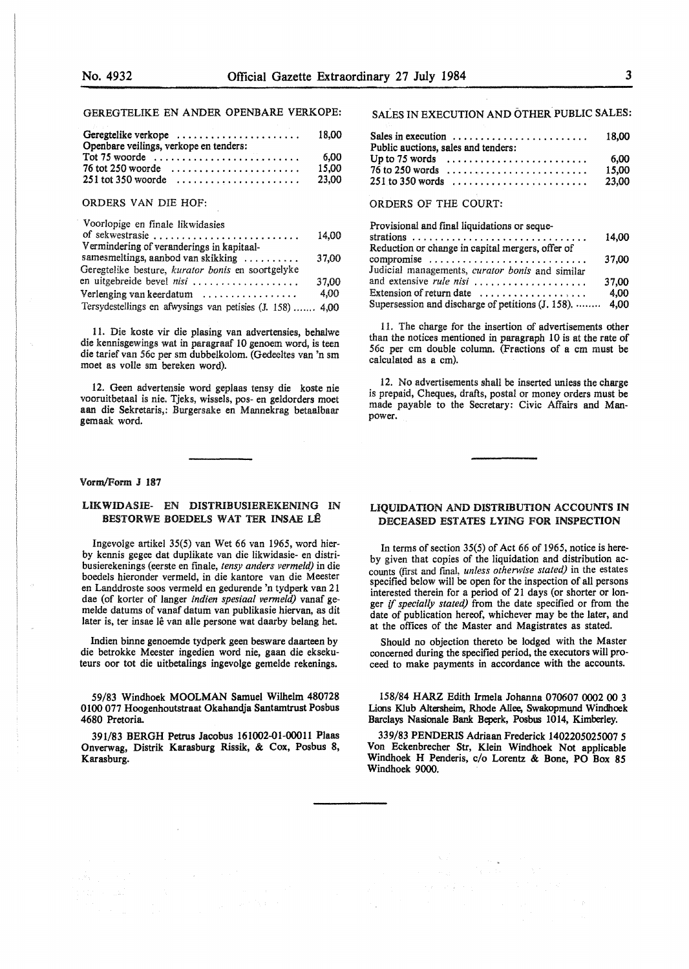#### GEREGTELIKE EN ANDER OPENBARE VERKOPE:

| Geregtelike verkope                                                  | 18.00 |
|----------------------------------------------------------------------|-------|
| Openbare veilings, verkope en tenders:                               |       |
|                                                                      | 6.00  |
| 76 tot 250 woorde $\ldots \ldots \ldots \ldots \ldots \ldots \ldots$ | 15.00 |
| $251$ tot 350 woorde                                                 | 23,00 |
| ORDERS VAN DIE HOF:                                                  |       |

#### Voorlopige en finale likwidasies of sekwestrasie . . . . . . . . . . . . . . . . . . . . . . . . . . 14,00 Vermindering of veranderings in kapitaalsamesmeltings, aanbod van skikking .......... 37,00 Geregtelike besture, *kurator bonis* en soortgelyke en uitgebreide bevel *nisi* . . . . . . . . . . . . . . . . . . . 37,00 Verlenging van keerdatum . . . . . . . . . . . . . . . . . 4,00 Tersydestellings en afwysings van petisies (J. 158) ....... 4,00

11. Die koste vir die plasing van advertensies, behalwe die kennisgewings wat in paragraaf 10 genoem word, is teen die tarief van 56c per sm dubbelkolom. (Gedeeltes van 'n sm moet as volle sm bereken word).

12. Geen advertensie word geplaas tensy die koste nie vooruitbetaal is nie. Tjeks, wissels, pos- en geldorders moet aan die Sekretaris,: Burgersake en Mannekrag betaalbaar gemaak word.

#### Vorm/Form J 187

#### LIKWIDASIE- EN DISTRIBUSIEREKENING IN **BESTORWE BOEDELS WAT TER INSAE LÊ**

Ingevolge artikel 35(5) van Wet 66 van 1965, word hierby kennis gegee dat duplikate van die likwidasie- en distribusierekenings (eerste en finale, *tensy anders vermeld)* in die boedels hieronder vermeld, in die kantore van die Meester en Landdroste soos vermeld en gedurende 'n tydperk van 21 dae (of korter of !anger *indien spesiaal vermeld)* vanaf gemelde datums of vanaf datum van publikasie hiervan, as dit later is, ter insae lê van alle persone wat daarby belang het.

Indien binne genoemde tydperk geen besware daarteen by die betrokke Meester ingedien word nie, gaan die eksekuteurs oor tot die uitbetalings ingevolge gemelde rekenings.

59/83 Windhoek MOOLMAN Samuel Wilhelm 480728 0100 077 Hoogenhoutstraat Okahandja Santamtrust Posbus 4680 Pretoria.

391/83 BERGH Petrus Jacobus 161002-01-00011 Plaas Onverwag, Distrik Karasburg Rissik, & Cox, Posbus 8, Karasburg.

#### SALES IN EXECUTION AND OTHER PUBLIC SALES:

| Sales in execution $\dots \dots \dots \dots \dots \dots \dots$<br>Public auctions, sales and tenders: |  |  |  |  |  |  |  |  |  |  |  |  |  | 18.00  |
|-------------------------------------------------------------------------------------------------------|--|--|--|--|--|--|--|--|--|--|--|--|--|--------|
| Up to 75 words $\dots \dots \dots \dots \dots \dots \dots \dots$                                      |  |  |  |  |  |  |  |  |  |  |  |  |  | - 6.00 |
|                                                                                                       |  |  |  |  |  |  |  |  |  |  |  |  |  | 15.00  |
|                                                                                                       |  |  |  |  |  |  |  |  |  |  |  |  |  | 23.00  |

#### ORDERS OF THE COURT:

| Provisional and final liquidations or seque-                         |       |
|----------------------------------------------------------------------|-------|
|                                                                      | 14.00 |
| Reduction or change in capital mergers, offer of                     |       |
| compromise $\ldots \ldots \ldots \ldots \ldots \ldots \ldots \ldots$ | 37.00 |
| Judicial managements, curator bonis and similar                      |       |
| and extensive <i>rule nisi</i>                                       | 37,00 |
| Extension of return date $\dots\dots\dots\dots\dots\dots$            | 4.00  |
| Supersession and discharge of petitions (J. 158).  4,00              |       |

11. The charge for the insertion of advertisements other than the notices mentioned in paragraph 10 is at the rate of 56c per cm double column. (Fractions of a cm must be calculated as a cm).

12. No advertisements shall be inserted unless the charge is prepaid, Cheques, drafts, postal or money orders must be made payable to the Secretary: Civic Affairs and Manpower.

#### **LIQUIDATION** AND **DISTRIBUTION ACCOUNTS IN DECEASED ESTATES LYING FOR INSPECTION**

In terms of section 35(5) of Act 66 of 1965, notice is hereby given that copies of the liquidation and distribution accounts (first and final, *unless othenvise stated)* in the estates specified below will be open for the inspection of all persons interested therein for a period of 21 days (or shorter or longer if *specially stated)* from the date specified or from the date of publication hereof, whichever may be the later, and at the offices of the Master and Magistrates as stated.

Should no objection thereto be lodged with the Master concerned during the specified period, the executors will proceed to make payments in accordance with the accounts.

158/84 HARZ Edith Irmela Johanna 070607 **0002 00** 3 Lions Klub Altersheim, Rhode Allee, Swakopmund **Windhoek**  Barclays Nasionale **Bank Beperk,** Posbus 1014, Kimberley.

**339/83 PENDERIS Adriaan Frederick 1402205025007** *5*  Von Eckenbrecher **Str, Klein Windhoek** Not applicable **Windhoek H Penderis,** c/o Lorentz & **Bone, PO Box 85 Windhoek 9000.**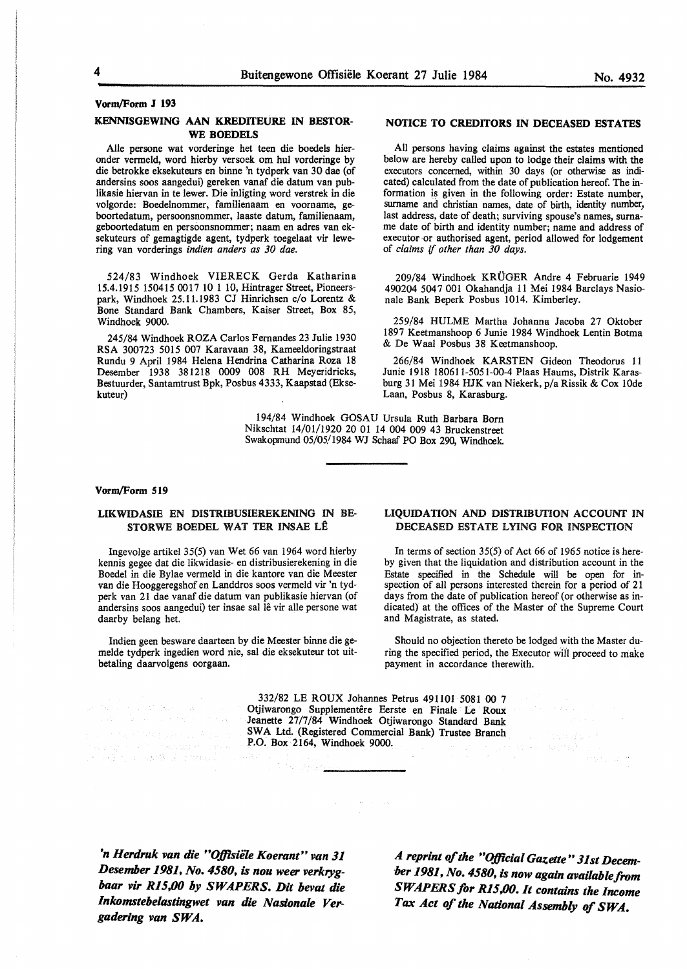#### **Vorm/Form J 193**

#### **KENNISGEWING AAN KREDITEURE IN BESTOR-WE BOEDELS**

Alie persone wat vorderinge het teen die boedels hieronder venneld, word hierby versoek om hul vorderinge by die betrokke eksekuteurs en binne 'n tydperk van 30 dae (of andersins soos aangedui) gereken vanaf die datum van publikasie hiervan in te lewer. Die inligting word verstrek in die volgorde: Boedelnommer, familienaam en voorname, geboortedatum, persoonsnommer, laaste datum, familienaam, geboortedatum en persoonsnommer; naam en adres van eksekuteurs of gemagtigde agent, tydperk toegelaat vir lewering van vorderings *indien anders as 30 dae.* 

524/83 Windhoek VIERECK Gerda Katharina 15.4.1915 150415 0017 10 1 10, Hintrager Street, Pioneerspark, Windhoek 25.11.1983 CJ Hinrichsen c/o Lorentz & Bone Standard Bank Chambers, Kaiser Street, Box 85, Windhoek 9000.

245/84 Windhoek ROZA Carlos Fernandes 23 Julie 1930 RSA 300723 5015 007 Karavaan 38, Kameeldoringstraat Rundu 9 April 1984 Helena Hendrina Catharina Roza 18 Desember 1938 381218 0009 008 RH Meyeridricks, Bestuurder, Santamtrust Bpk, Posbus 4333, Kaapstad (Eksekuteur)

#### **NOTICE TO CREDITORS IN DECEASED ESTATES**

All persons having claims against the estates mentioned below are hereby called upon to lodge their claims with the executors concerned, within 30 days (or otherwise as indicated) calculated from the date of publication hereof. The information is given in the following order: Estate number, surname and christian names, date of birth, identity number, last address, date of death; surviving spouse's names, surname date of birth and identity number; name and address of executor or authorised agent, period allowed for lodgement of *claims if other than 30 days.* 

209/84 Windhoek KRUGER Andre 4 Februarie 1949 490204 5047 001 Okahandja 11 Mei 1984 Barclays Nasio- nale Bank Beperk Posbus 1014. Kimberley.

259/84 HULME Martha Johanna Jacoba 27 Oktober 1897 Keetmanshoop 6 Junie 1984 Windhoek Lentin Botma & De W aa1 Posbus 38 Keetmanshoop.

266/84 Windhoek KARSTEN Gideon Theodorus 11 Junie 1918 180611-5051-00-4 Plaas Haums, Distrik Karasburg 31 Mei 1984 HJK van Niekerk, p/a Rissik & Cox !Ode Laan, Posbus 8, Karasburg.

194/84 Windhoek GOSAU Ursula Ruth Barbara Born Nikschtat 14/01/1920 20 01 14 004 009 43 Bruckenstreet Swakopmund 05/05/1984 WJ Schaaf PO Box 290, Windhoek.

#### **Vorm/Form 519**

#### **LIKWIDASIE EN DISTRIBUSIEREKENING IN BE-STORWE BOEDEL WAT TER INSAE LE**

Ingevolge artikel 35(5) van Wet 66 van 1964 word hierby kennis gegee dat die likwidasie- en distribusierekening in die Boedel in die Bylae vermeld in die kantore van die Meester van die Hooggeregshof en Landdros soos vermeld vir 'n tydperk van 21 dae vanaf die datum van publikasie hiervan (of andersins soos aangedui) ter insae sal lê vir alle persone wat daarby belang het.

Indien geen besware daarteen by die Meester binne die gemelde tydperk ingedien word nie, sal die eksekuteur tot uitbetaling daarvolgens oorgaan.

a višina sed kalendaru va

#### **LIQUIDATION AND DISTRIBUTION ACCOUNT** IN DECEASED ESTATE LYING FOR INSPECTION

In terms of section 35(5) of Act 66 of 1965 notice is hereby given that the liquidation and distribution account in the Estate specified in the Schedule will be open for inspection of all persons interested therein for a period of 21 days from the date of publication hereof (or otherwise as indicated) at the offices of the Master of the Supreme Court and Magistrate, as stated.

Should no objection thereto be lodged with the Master during the specified period, the Executor will proceed to make payment in accordance therewith.

中学的 出口

332/82 LE ROUX Johannes Petrus 491101 5081 00 7 Otjiwarongo Supplementêre Eerste en Finale Le Roux Jeanette 27/7/84 Windhoek Otjiwarongo Standard Bank SWA Ltd. (Registered Commercial Bank) Trustee Branch **P.O. Box 2164, Windhoek 9000.** 

*'n Herdruk van die "Ojp.sie1e Koerant" van 31 Desember 1981, No. 4580, is nou weer verkryghaar vir Rl5,00 by SWAPERS. Dit bevat die lnkomstebelastingwet van die Nasionale Vergaderlng van SWA.* 

*A reprint of the "O,Dlcial Gazette" 31st December 1981, No. 4580, is now again availablefrom SW A.PERS for Rl5,00. It contains the Income Tax Act of the National Assembly of SWA.*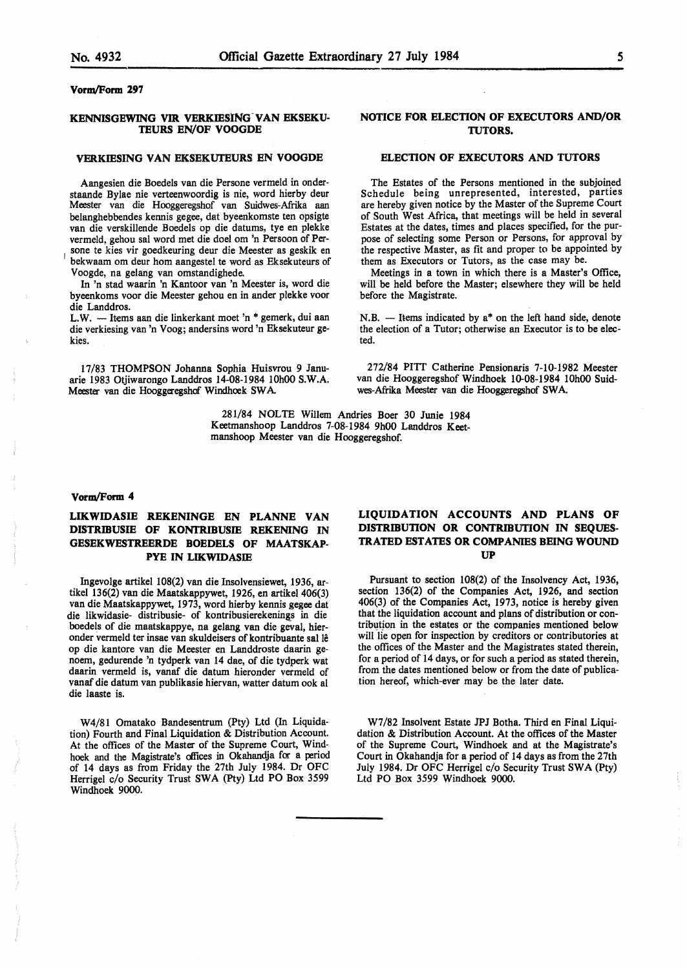#### **KENNISGEWING VIR VERKIESlNG-VAN EKSEKU-TEURS EN/OF VOOGDE**

#### **VERKIESING VAN EKSEKUTEURS EN VOOGDE**

Aangesien die Boedels van die Persone vermeld in onderstaande Bylae nie verteenwoordig is nie, word hierby deur Meester van die Hooggeregshof van Suidwes-Afrika aan belanghebbendes kennis gegee, dat byeenkomste ten opsigte van die verskillende Boedels op die datums, tye en plekke vermeld, gehou sal word met die doe! om 'n Persoon of Persone te kies vir goedkeuring deur die Meester as geskik en bekwaam om deur horn aangestel te word as Eksekuteurs of V oogde, na gelang van omstandighede.

In 'n stad waarin 'n Kantoor van 'n Meester is, word die byeenkoms voor die Meester gehou en in ander plekke voor die Landdros.

L.W. - Items aan die linkerkant moet 'n \* gemerk, dui aan die verkiesing van 'n Voog; andersins word 'n Eksekuteur gekies.

17/83 THOMPSON Johanna Sophia Huisvrou 9 Januarie 1983 Otjiwarongo Landdros 14-08-1984 10h00 S.W.A. Meester van die Hooggeregshof Windhoek SWA.

#### **NOTICE FOR ELECTION OF EXECUTORS AND/OR TUTORS.**

#### **ELECTION OF EXECUTORS AND TUTORS**

The Estates of the Persons mentioned in the subjoined Schedule being unrepresented, interested, parties are hereby given notice by the Master of the Supreme Court of South West Africa, that meetings will be held in several Estates at the dates, times and places specified, for the purpose of selecting some Person or Persons, for approval by the respective Master, as fit and proper to be appointed by them as Executors or Tutors, as the case may be.

Meetings in a town in which there is a Master's Office, will be held before the Master; elsewhere they will be held before the Magistrate.

 $N.B.$  - Items indicated by  $a^*$  on the left hand side, denote the election of a Tutor; otherwise an Executor is to be elected.

272/84 PITT Catherine Pensionaris 7-10-1982 Meester van die Hooggeregshof Windhoek 10-08-1984 10h00 Suidwes-Afiika Meester van die Hooggeregshof SWA

281/84 NOLTE Willem Andries Boer 30 Junie 1984 Keetmanshoop Landdros 7-08-1984 9h00 Landdros Keetmanshoop Meester van die Hooggeregshof.

#### **Voran/Form 4**

#### **LIKWIDASIE REKENINGE EN PLANNE VAN DISTRIBUSIE OF KONTRIBUSIE REKENING IN GESEKWESTREERDE BOEDELS OF MAATSKAP-PYE IN LIKWIDASIE**

Ingevolge artikel 108(2) van die Insolvensiewet, 1936, artikel 136(2) van die Maatskappywet, 1926, en artikel 406(3) van die Maatskappywet, 1973, word hierby kennis **gegee** dat die likwidasie- distribusie- of kontribusierekenings in die boedels of die maatskappye, na gelang van die geval, hieronder vermeld ter insae van skuldeisers of kontribuante sal le op die kantore van die Meester en Landdroste daarin genoem, gedurende 'n tydperk van 14 dae, of die tydperk wat daarin vermeld is, vanaf die datum hieronder vermeld of vanaf die datum van publikasie hiervan, watter datum ook al die laaste is.

W4/81 Omatako Bandesentrum (Pty) Ltd (In Liquidation) Fourth and Final Liquidation & Distribution Account. At the offices of the Master of the Supreme Court, Windhoek and the Magistrate's offices in Okahandja for a period of 14 days as from Friday the 27th July 1984. Dr OFC Herrigel c/o Security Trust SWA (Pty) Ltd PO Box 3599 Windhoek 9000.

#### **LIQUIDATION ACCOUNTS AND PLANS OF DISTRIBUTION OR CONTRIBUTION IN SEQUES-TRATED ESTATES OR COMPANIES BEING WOUND UP**

Pursuant to section 108(2) of the Insolvency Act, 1936, section 136(2) of the Companies Act, 1926, and section 406(3) of the Companies Act, 1973, notice is hereby given that the liquidation account and plans of distribution or contribution in the estates or the companies mentioned below will lie open for inspection by creditors or contributories at the offices of the Master and the Magistrates stated therein, for a period of 14 days, or for such a period as stated therein, from the dates mentioned below or from the date of publication hereof, which-ever may be the later date.

W7/82 Insolvent Estate JPJ Botha. Third en Final Liquidation & Distribution Account. At the offices of the Master of the Supreme Court, Windhoek and at the Magistrate's Court in Okahandja for a period of 14 days as from the 27th July 1984. Dr OFC Herrigel c/o Security Trust SWA (Pty) Ltd PO Box 3599 Windhoek 9000.